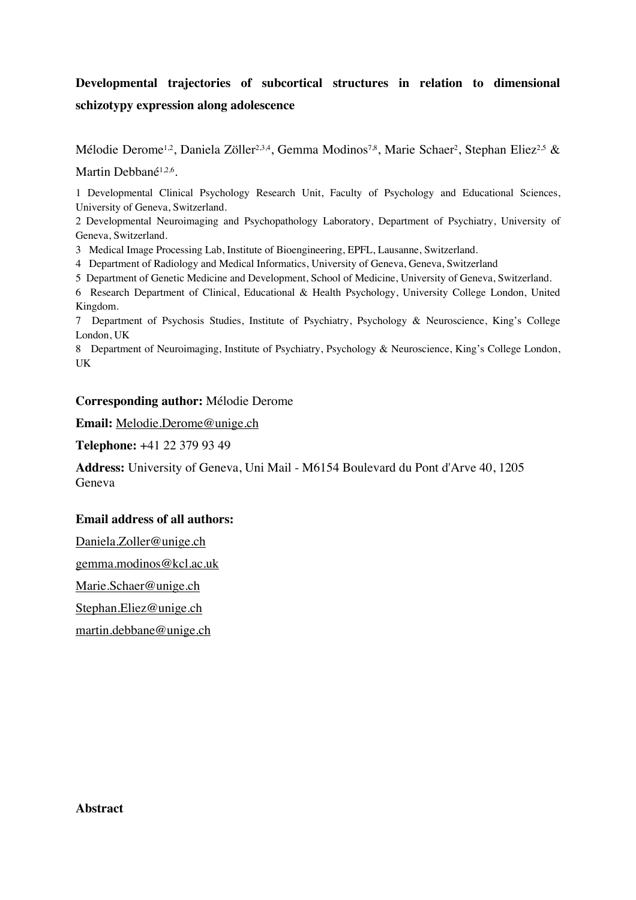# **Developmental trajectories of subcortical structures in relation to dimensional schizotypy expression along adolescence**

Mélodie Derome<sup>1,2</sup>, Daniela Zöller<sup>2,3,4</sup>, Gemma Modinos<sup>7,8</sup>, Marie Schaer<sup>2</sup>, Stephan Eliez<sup>2,5</sup> &

Martin Debbané<sup>1,2,6</sup>.

1 Developmental Clinical Psychology Research Unit, Faculty of Psychology and Educational Sciences, University of Geneva, Switzerland.

2 Developmental Neuroimaging and Psychopathology Laboratory, Department of Psychiatry, University of Geneva, Switzerland.

3 Medical Image Processing Lab, Institute of Bioengineering, EPFL, Lausanne, Switzerland.

4 Department of Radiology and Medical Informatics, University of Geneva, Geneva, Switzerland

5 Department of Genetic Medicine and Development, School of Medicine, University of Geneva, Switzerland.

6 Research Department of Clinical, Educational & Health Psychology, University College London, United Kingdom.

7 Department of Psychosis Studies, Institute of Psychiatry, Psychology & Neuroscience, King's College London, UK

8 Department of Neuroimaging, Institute of Psychiatry, Psychology & Neuroscience, King's College London, UK

# **Corresponding author:** Mélodie Derome

**Email:** Melodie.Derome@unige.ch

**Telephone:** +41 22 379 93 49

**Address:** University of Geneva, Uni Mail - M6154 Boulevard du Pont d'Arve 40, 1205 Geneva

# **Email address of all authors:**

Daniela.Zoller@unige.ch

gemma.modinos@kcl.ac.uk

Marie.Schaer@unige.ch

Stephan.Eliez@unige.ch

martin.debbane@unige.ch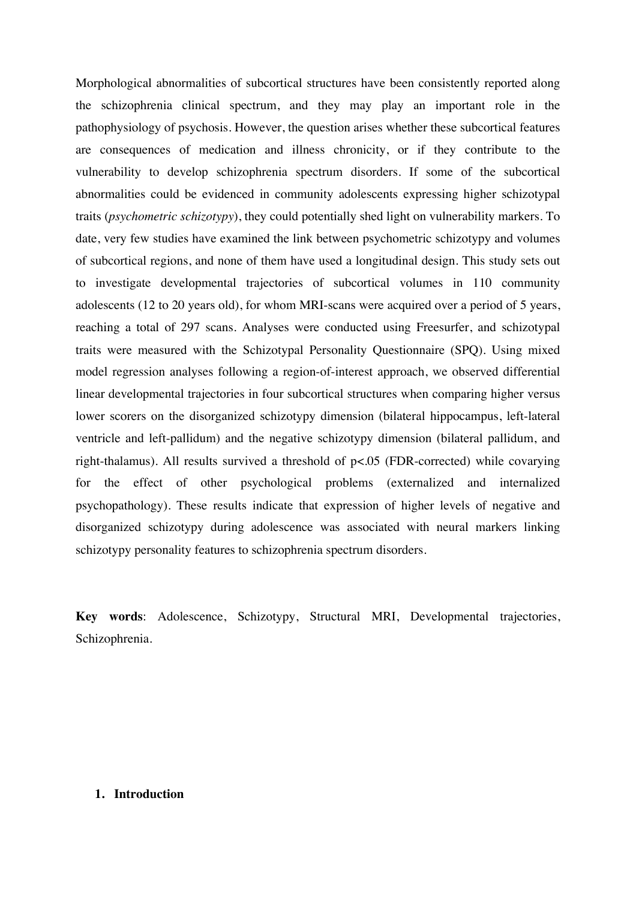Morphological abnormalities of subcortical structures have been consistently reported along the schizophrenia clinical spectrum, and they may play an important role in the pathophysiology of psychosis. However, the question arises whether these subcortical features are consequences of medication and illness chronicity, or if they contribute to the vulnerability to develop schizophrenia spectrum disorders. If some of the subcortical abnormalities could be evidenced in community adolescents expressing higher schizotypal traits (*psychometric schizotypy*), they could potentially shed light on vulnerability markers. To date, very few studies have examined the link between psychometric schizotypy and volumes of subcortical regions, and none of them have used a longitudinal design. This study sets out to investigate developmental trajectories of subcortical volumes in 110 community adolescents (12 to 20 years old), for whom MRI-scans were acquired over a period of 5 years, reaching a total of 297 scans. Analyses were conducted using Freesurfer, and schizotypal traits were measured with the Schizotypal Personality Questionnaire (SPQ). Using mixed model regression analyses following a region-of-interest approach, we observed differential linear developmental trajectories in four subcortical structures when comparing higher versus lower scorers on the disorganized schizotypy dimension (bilateral hippocampus, left-lateral ventricle and left-pallidum) and the negative schizotypy dimension (bilateral pallidum, and right-thalamus). All results survived a threshold of p<.05 (FDR-corrected) while covarying for the effect of other psychological problems (externalized and internalized psychopathology). These results indicate that expression of higher levels of negative and disorganized schizotypy during adolescence was associated with neural markers linking schizotypy personality features to schizophrenia spectrum disorders.

**Key words**: Adolescence, Schizotypy, Structural MRI, Developmental trajectories, Schizophrenia.

# **1. Introduction**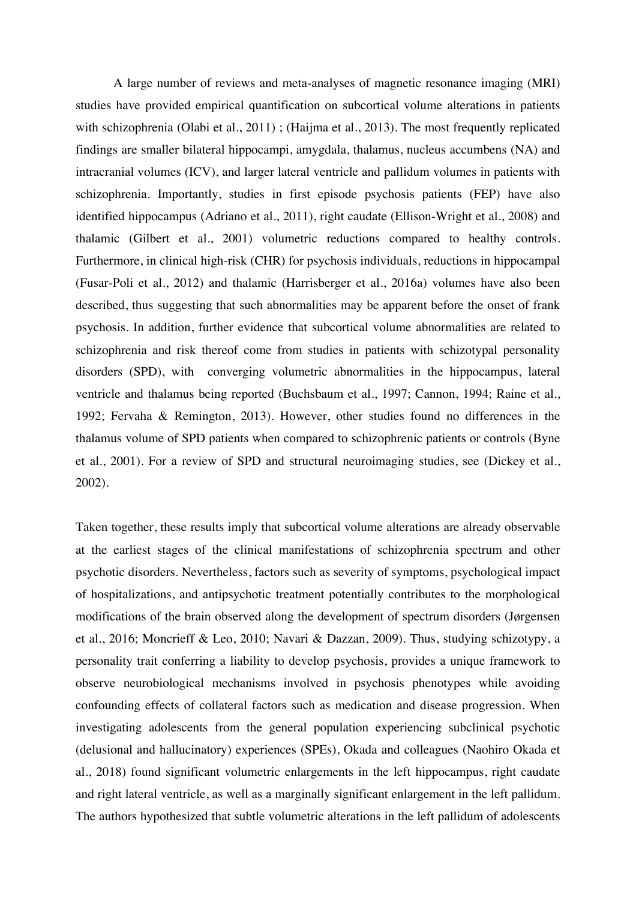A large number of reviews and meta-analyses of magnetic resonance imaging (MRI) studies have provided empirical quantification on subcortical volume alterations in patients with schizophrenia (Olabi et al., 2011) ; (Haijma et al., 2013). The most frequently replicated findings are smaller bilateral hippocampi, amygdala, thalamus, nucleus accumbens (NA) and intracranial volumes (ICV), and larger lateral ventricle and pallidum volumes in patients with schizophrenia. Importantly, studies in first episode psychosis patients (FEP) have also identified hippocampus (Adriano et al., 2011), right caudate (Ellison-Wright et al., 2008) and thalamic (Gilbert et al., 2001) volumetric reductions compared to healthy controls. Furthermore, in clinical high-risk (CHR) for psychosis individuals, reductions in hippocampal (Fusar-Poli et al., 2012) and thalamic (Harrisberger et al., 2016a) volumes have also been described, thus suggesting that such abnormalities may be apparent before the onset of frank psychosis. In addition, further evidence that subcortical volume abnormalities are related to schizophrenia and risk thereof come from studies in patients with schizotypal personality disorders (SPD), with converging volumetric abnormalities in the hippocampus, lateral ventricle and thalamus being reported (Buchsbaum et al., 1997; Cannon, 1994; Raine et al., 1992; Fervaha & Remington, 2013). However, other studies found no differences in the thalamus volume of SPD patients when compared to schizophrenic patients or controls (Byne et al., 2001). For a review of SPD and structural neuroimaging studies, see (Dickey et al., 2002).

Taken together, these results imply that subcortical volume alterations are already observable at the earliest stages of the clinical manifestations of schizophrenia spectrum and other psychotic disorders. Nevertheless, factors such as severity of symptoms, psychological impact of hospitalizations, and antipsychotic treatment potentially contributes to the morphological modifications of the brain observed along the development of spectrum disorders (Jørgensen et al., 2016; Moncrieff & Leo, 2010; Navari & Dazzan, 2009). Thus, studying schizotypy, a personality trait conferring a liability to develop psychosis, provides a unique framework to observe neurobiological mechanisms involved in psychosis phenotypes while avoiding confounding effects of collateral factors such as medication and disease progression. When investigating adolescents from the general population experiencing subclinical psychotic (delusional and hallucinatory) experiences (SPEs), Okada and colleagues (Naohiro Okada et al., 2018) found significant volumetric enlargements in the left hippocampus, right caudate and right lateral ventricle, as well as a marginally significant enlargement in the left pallidum. The authors hypothesized that subtle volumetric alterations in the left pallidum of adolescents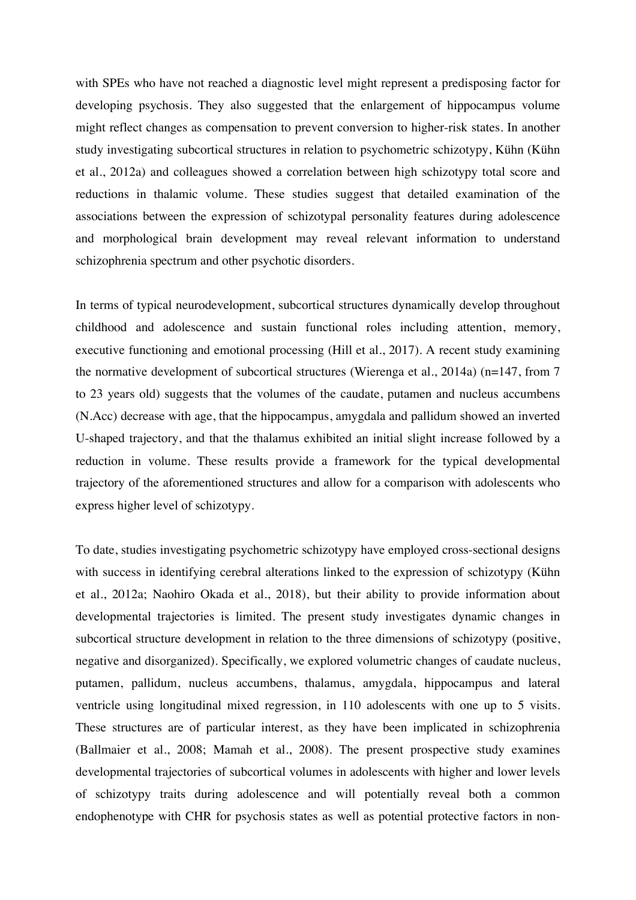with SPEs who have not reached a diagnostic level might represent a predisposing factor for developing psychosis. They also suggested that the enlargement of hippocampus volume might reflect changes as compensation to prevent conversion to higher-risk states. In another study investigating subcortical structures in relation to psychometric schizotypy, Kühn (Kühn et al., 2012a) and colleagues showed a correlation between high schizotypy total score and reductions in thalamic volume. These studies suggest that detailed examination of the associations between the expression of schizotypal personality features during adolescence and morphological brain development may reveal relevant information to understand schizophrenia spectrum and other psychotic disorders.

In terms of typical neurodevelopment, subcortical structures dynamically develop throughout childhood and adolescence and sustain functional roles including attention, memory, executive functioning and emotional processing (Hill et al., 2017). A recent study examining the normative development of subcortical structures (Wierenga et al., 2014a) (n=147, from 7 to 23 years old) suggests that the volumes of the caudate, putamen and nucleus accumbens (N.Acc) decrease with age, that the hippocampus, amygdala and pallidum showed an inverted U-shaped trajectory, and that the thalamus exhibited an initial slight increase followed by a reduction in volume. These results provide a framework for the typical developmental trajectory of the aforementioned structures and allow for a comparison with adolescents who express higher level of schizotypy.

To date, studies investigating psychometric schizotypy have employed cross-sectional designs with success in identifying cerebral alterations linked to the expression of schizotypy (Kühn et al., 2012a; Naohiro Okada et al., 2018), but their ability to provide information about developmental trajectories is limited. The present study investigates dynamic changes in subcortical structure development in relation to the three dimensions of schizotypy (positive, negative and disorganized). Specifically, we explored volumetric changes of caudate nucleus, putamen, pallidum, nucleus accumbens, thalamus, amygdala, hippocampus and lateral ventricle using longitudinal mixed regression, in 110 adolescents with one up to 5 visits. These structures are of particular interest, as they have been implicated in schizophrenia (Ballmaier et al., 2008; Mamah et al., 2008). The present prospective study examines developmental trajectories of subcortical volumes in adolescents with higher and lower levels of schizotypy traits during adolescence and will potentially reveal both a common endophenotype with CHR for psychosis states as well as potential protective factors in non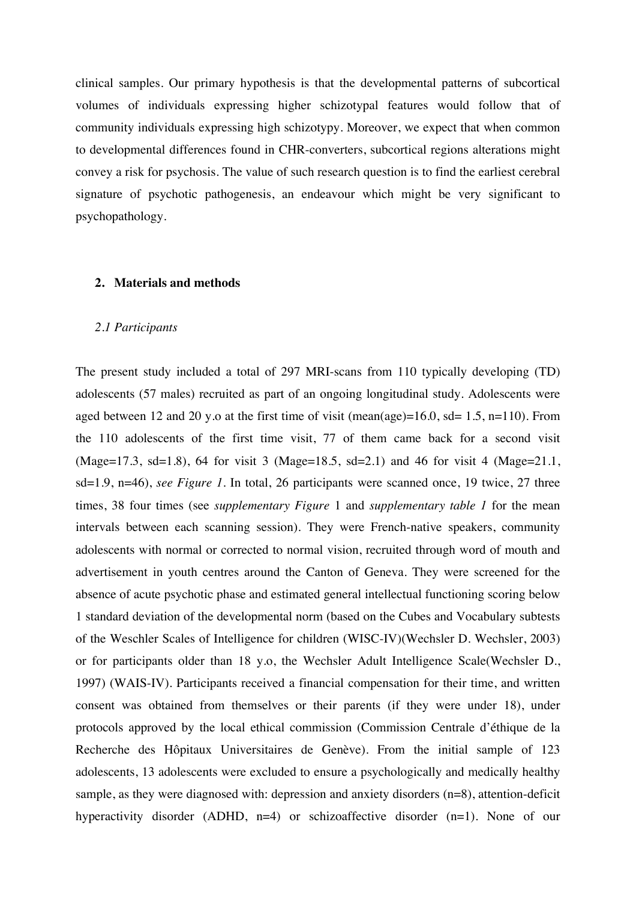clinical samples. Our primary hypothesis is that the developmental patterns of subcortical volumes of individuals expressing higher schizotypal features would follow that of community individuals expressing high schizotypy. Moreover, we expect that when common to developmental differences found in CHR-converters, subcortical regions alterations might convey a risk for psychosis. The value of such research question is to find the earliest cerebral signature of psychotic pathogenesis, an endeavour which might be very significant to psychopathology.

## **2. Materials and methods**

#### *2.1 Participants*

The present study included a total of 297 MRI-scans from 110 typically developing (TD) adolescents (57 males) recruited as part of an ongoing longitudinal study. Adolescents were aged between 12 and 20 y.o at the first time of visit (mean(age)= $16.0$ , sd=  $1.5$ , n= $110$ ). From the 110 adolescents of the first time visit, 77 of them came back for a second visit (Mage=17.3, sd=1.8), 64 for visit 3 (Mage=18.5, sd=2.1) and 46 for visit 4 (Mage=21.1, sd=1.9, n=46), *see Figure 1.* In total, 26 participants were scanned once, 19 twice, 27 three times, 38 four times (see *supplementary Figure* 1 and *supplementary table 1* for the mean intervals between each scanning session). They were French-native speakers, community adolescents with normal or corrected to normal vision, recruited through word of mouth and advertisement in youth centres around the Canton of Geneva. They were screened for the absence of acute psychotic phase and estimated general intellectual functioning scoring below 1 standard deviation of the developmental norm (based on the Cubes and Vocabulary subtests of the Weschler Scales of Intelligence for children (WISC-IV)(Wechsler D. Wechsler, 2003) or for participants older than 18 y.o, the Wechsler Adult Intelligence Scale(Wechsler D., 1997) (WAIS-IV). Participants received a financial compensation for their time, and written consent was obtained from themselves or their parents (if they were under 18), under protocols approved by the local ethical commission (Commission Centrale d'éthique de la Recherche des Hôpitaux Universitaires de Genève). From the initial sample of 123 adolescents, 13 adolescents were excluded to ensure a psychologically and medically healthy sample, as they were diagnosed with: depression and anxiety disorders (n=8), attention-deficit hyperactivity disorder (ADHD, n=4) or schizoaffective disorder (n=1). None of our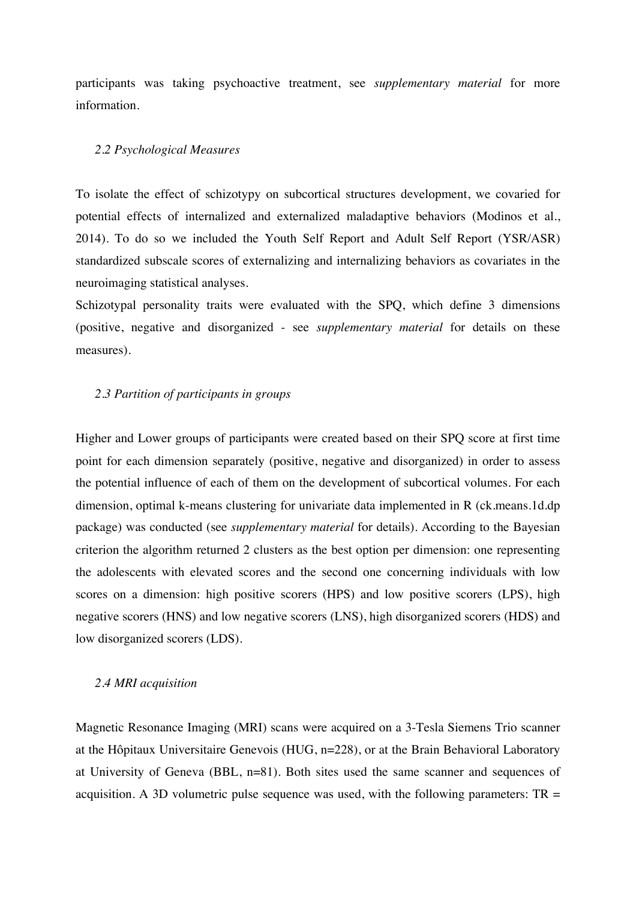participants was taking psychoactive treatment, see *supplementary material* for more information.

#### *2.2 Psychological Measures*

To isolate the effect of schizotypy on subcortical structures development, we covaried for potential effects of internalized and externalized maladaptive behaviors (Modinos et al., 2014). To do so we included the Youth Self Report and Adult Self Report (YSR/ASR) standardized subscale scores of externalizing and internalizing behaviors as covariates in the neuroimaging statistical analyses.

Schizotypal personality traits were evaluated with the SPQ, which define 3 dimensions (positive, negative and disorganized - see *supplementary material* for details on these measures).

# *2.3 Partition of participants in groups*

Higher and Lower groups of participants were created based on their SPQ score at first time point for each dimension separately (positive, negative and disorganized) in order to assess the potential influence of each of them on the development of subcortical volumes. For each dimension, optimal k-means clustering for univariate data implemented in R (ck.means.1d.dp package) was conducted (see *supplementary material* for details). According to the Bayesian criterion the algorithm returned 2 clusters as the best option per dimension: one representing the adolescents with elevated scores and the second one concerning individuals with low scores on a dimension: high positive scorers (HPS) and low positive scorers (LPS), high negative scorers (HNS) and low negative scorers (LNS), high disorganized scorers (HDS) and low disorganized scorers (LDS).

### *2.4 MRI acquisition*

Magnetic Resonance Imaging (MRI) scans were acquired on a 3-Tesla Siemens Trio scanner at the Hôpitaux Universitaire Genevois (HUG, n=228), or at the Brain Behavioral Laboratory at University of Geneva (BBL, n=81). Both sites used the same scanner and sequences of acquisition. A 3D volumetric pulse sequence was used, with the following parameters:  $TR =$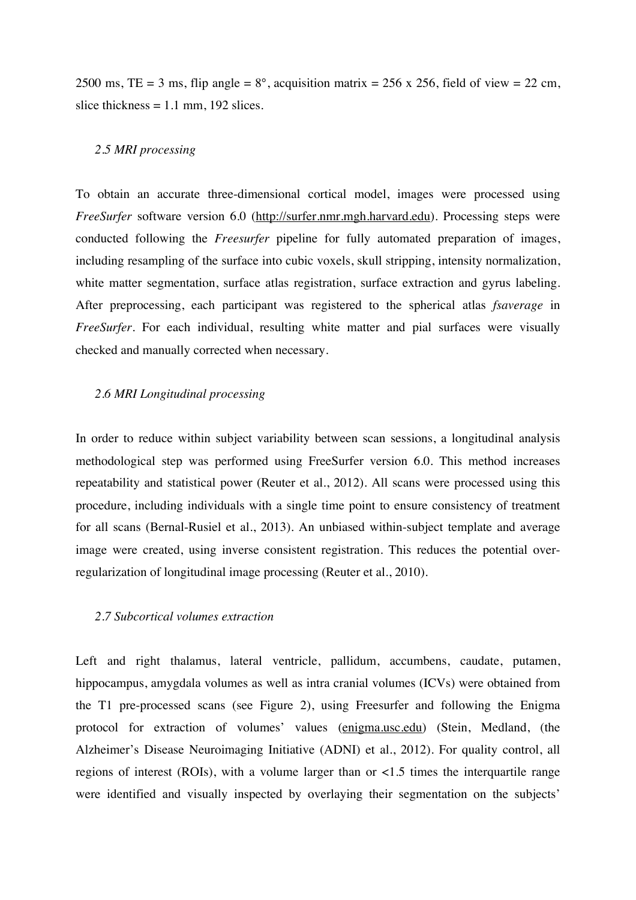2500 ms, TE = 3 ms, flip angle =  $8^\circ$ , acquisition matrix = 256 x 256, field of view = 22 cm, slice thickness  $= 1.1$  mm, 192 slices.

# *2.5 MRI processing*

To obtain an accurate three-dimensional cortical model, images were processed using *FreeSurfer* software version 6.0 (http://surfer.nmr.mgh.harvard.edu). Processing steps were conducted following the *Freesurfer* pipeline for fully automated preparation of images, including resampling of the surface into cubic voxels, skull stripping, intensity normalization, white matter segmentation, surface atlas registration, surface extraction and gyrus labeling. After preprocessing, each participant was registered to the spherical atlas *fsaverage* in *FreeSurfer*. For each individual, resulting white matter and pial surfaces were visually checked and manually corrected when necessary.

# *2.6 MRI Longitudinal processing*

In order to reduce within subject variability between scan sessions, a longitudinal analysis methodological step was performed using FreeSurfer version 6.0. This method increases repeatability and statistical power (Reuter et al., 2012). All scans were processed using this procedure, including individuals with a single time point to ensure consistency of treatment for all scans (Bernal-Rusiel et al., 2013). An unbiased within-subject template and average image were created, using inverse consistent registration. This reduces the potential overregularization of longitudinal image processing (Reuter et al., 2010).

# *2.7 Subcortical volumes extraction*

Left and right thalamus, lateral ventricle, pallidum, accumbens, caudate, putamen, hippocampus, amygdala volumes as well as intra cranial volumes (ICVs) were obtained from the T1 pre-processed scans (see Figure 2), using Freesurfer and following the Enigma protocol for extraction of volumes' values (enigma.usc.edu) (Stein, Medland, (the Alzheimer's Disease Neuroimaging Initiative (ADNI) et al., 2012). For quality control, all regions of interest (ROIs), with a volume larger than or  $\lt 1.5$  times the interquartile range were identified and visually inspected by overlaying their segmentation on the subjects'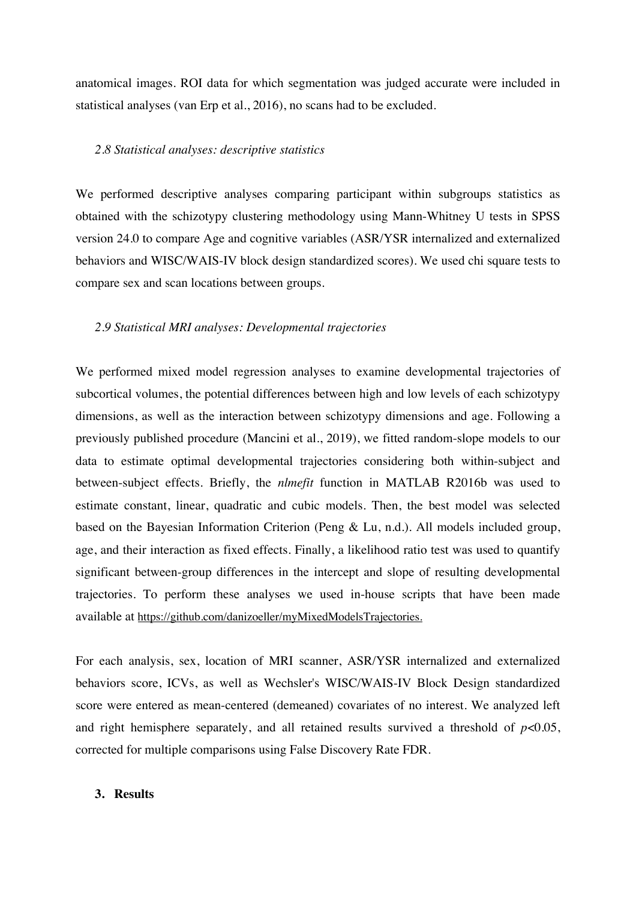anatomical images. ROI data for which segmentation was judged accurate were included in statistical analyses (van Erp et al., 2016), no scans had to be excluded.

### *2.8 Statistical analyses: descriptive statistics*

We performed descriptive analyses comparing participant within subgroups statistics as obtained with the schizotypy clustering methodology using Mann-Whitney U tests in SPSS version 24.0 to compare Age and cognitive variables (ASR/YSR internalized and externalized behaviors and WISC/WAIS-IV block design standardized scores). We used chi square tests to compare sex and scan locations between groups.

#### *2.9 Statistical MRI analyses: Developmental trajectories*

We performed mixed model regression analyses to examine developmental trajectories of subcortical volumes, the potential differences between high and low levels of each schizotypy dimensions, as well as the interaction between schizotypy dimensions and age. Following a previously published procedure (Mancini et al., 2019), we fitted random-slope models to our data to estimate optimal developmental trajectories considering both within-subject and between-subject effects. Briefly, the *nlmefit* function in MATLAB R2016b was used to estimate constant, linear, quadratic and cubic models. Then, the best model was selected based on the Bayesian Information Criterion (Peng & Lu, n.d.). All models included group, age, and their interaction as fixed effects. Finally, a likelihood ratio test was used to quantify significant between-group differences in the intercept and slope of resulting developmental trajectories. To perform these analyses we used in-house scripts that have been made available at https://github.com/danizoeller/myMixedModelsTrajectories.

For each analysis, sex, location of MRI scanner, ASR/YSR internalized and externalized behaviors score, ICVs, as well as Wechsler's WISC/WAIS-IV Block Design standardized score were entered as mean-centered (demeaned) covariates of no interest. We analyzed left and right hemisphere separately, and all retained results survived a threshold of  $p<0.05$ , corrected for multiple comparisons using False Discovery Rate FDR.

#### **3. Results**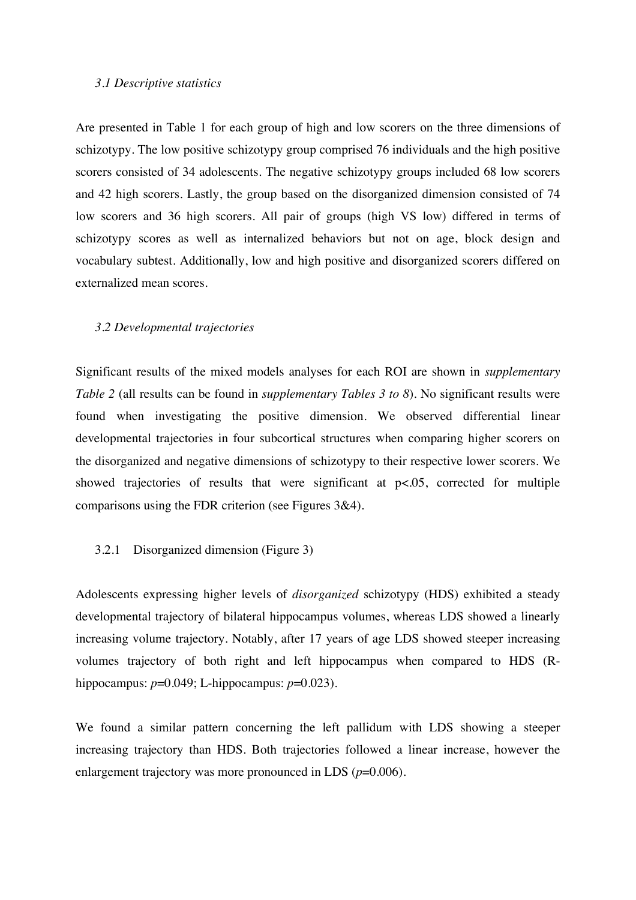#### *3.1 Descriptive statistics*

Are presented in Table 1 for each group of high and low scorers on the three dimensions of schizotypy. The low positive schizotypy group comprised 76 individuals and the high positive scorers consisted of 34 adolescents. The negative schizotypy groups included 68 low scorers and 42 high scorers. Lastly, the group based on the disorganized dimension consisted of 74 low scorers and 36 high scorers. All pair of groups (high VS low) differed in terms of schizotypy scores as well as internalized behaviors but not on age, block design and vocabulary subtest. Additionally, low and high positive and disorganized scorers differed on externalized mean scores.

#### *3.2 Developmental trajectories*

Significant results of the mixed models analyses for each ROI are shown in *supplementary Table 2* (all results can be found in *supplementary Tables 3 to 8*). No significant results were found when investigating the positive dimension. We observed differential linear developmental trajectories in four subcortical structures when comparing higher scorers on the disorganized and negative dimensions of schizotypy to their respective lower scorers. We showed trajectories of results that were significant at  $p<0.05$ , corrected for multiple comparisons using the FDR criterion (see Figures 3&4).

# 3.2.1 Disorganized dimension (Figure 3)

Adolescents expressing higher levels of *disorganized* schizotypy (HDS) exhibited a steady developmental trajectory of bilateral hippocampus volumes, whereas LDS showed a linearly increasing volume trajectory. Notably, after 17 years of age LDS showed steeper increasing volumes trajectory of both right and left hippocampus when compared to HDS (Rhippocampus:  $p=0.049$ ; L-hippocampus:  $p=0.023$ ).

We found a similar pattern concerning the left pallidum with LDS showing a steeper increasing trajectory than HDS. Both trajectories followed a linear increase, however the enlargement trajectory was more pronounced in LDS ( $p=0.006$ ).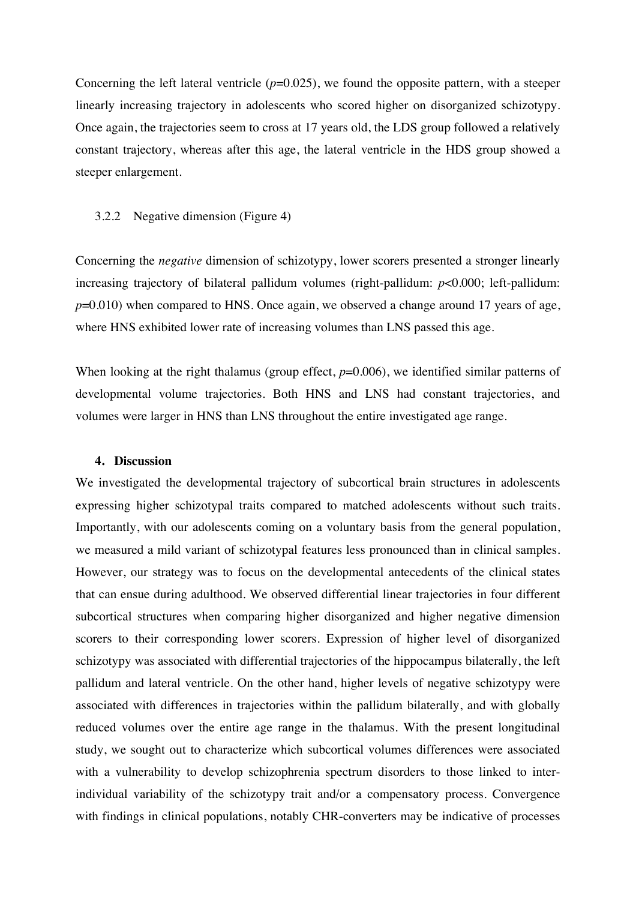Concerning the left lateral ventricle  $(p=0.025)$ , we found the opposite pattern, with a steeper linearly increasing trajectory in adolescents who scored higher on disorganized schizotypy. Once again, the trajectories seem to cross at 17 years old, the LDS group followed a relatively constant trajectory, whereas after this age, the lateral ventricle in the HDS group showed a steeper enlargement.

#### 3.2.2 Negative dimension (Figure 4)

Concerning the *negative* dimension of schizotypy, lower scorers presented a stronger linearly increasing trajectory of bilateral pallidum volumes (right-pallidum: *p*<0.000; left-pallidum: *p*=0.010) when compared to HNS. Once again, we observed a change around 17 years of age, where HNS exhibited lower rate of increasing volumes than LNS passed this age.

When looking at the right thalamus (group effect,  $p=0.006$ ), we identified similar patterns of developmental volume trajectories. Both HNS and LNS had constant trajectories, and volumes were larger in HNS than LNS throughout the entire investigated age range.

#### **4. Discussion**

We investigated the developmental trajectory of subcortical brain structures in adolescents expressing higher schizotypal traits compared to matched adolescents without such traits. Importantly, with our adolescents coming on a voluntary basis from the general population, we measured a mild variant of schizotypal features less pronounced than in clinical samples. However, our strategy was to focus on the developmental antecedents of the clinical states that can ensue during adulthood. We observed differential linear trajectories in four different subcortical structures when comparing higher disorganized and higher negative dimension scorers to their corresponding lower scorers. Expression of higher level of disorganized schizotypy was associated with differential trajectories of the hippocampus bilaterally, the left pallidum and lateral ventricle. On the other hand, higher levels of negative schizotypy were associated with differences in trajectories within the pallidum bilaterally, and with globally reduced volumes over the entire age range in the thalamus. With the present longitudinal study, we sought out to characterize which subcortical volumes differences were associated with a vulnerability to develop schizophrenia spectrum disorders to those linked to interindividual variability of the schizotypy trait and/or a compensatory process. Convergence with findings in clinical populations, notably CHR-converters may be indicative of processes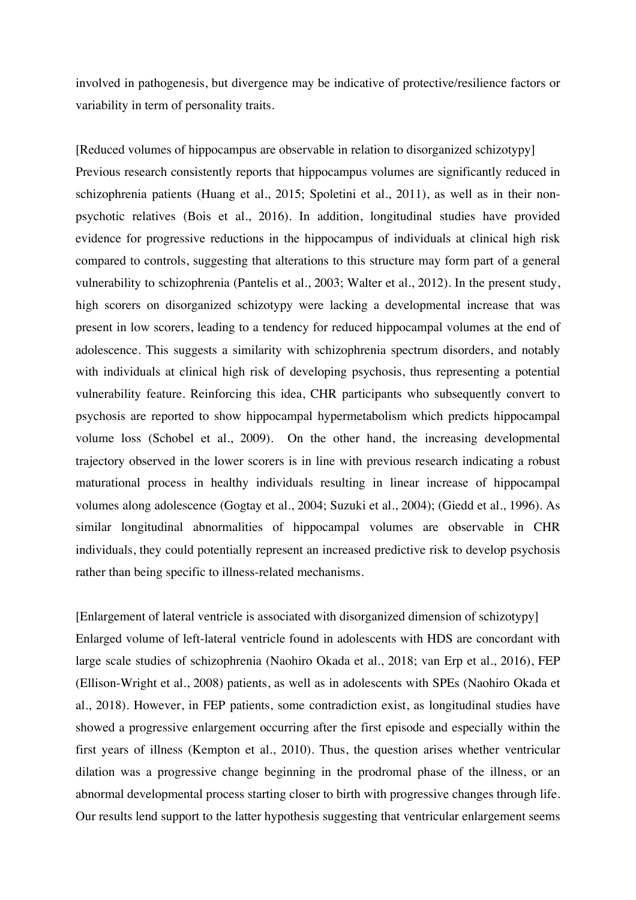involved in pathogenesis, but divergence may be indicative of protective/resilience factors or variability in term of personality traits.

[Reduced volumes of hippocampus are observable in relation to disorganized schizotypy] Previous research consistently reports that hippocampus volumes are significantly reduced in schizophrenia patients (Huang et al., 2015; Spoletini et al., 2011), as well as in their nonpsychotic relatives (Bois et al., 2016). In addition, longitudinal studies have provided evidence for progressive reductions in the hippocampus of individuals at clinical high risk compared to controls, suggesting that alterations to this structure may form part of a general vulnerability to schizophrenia (Pantelis et al., 2003; Walter et al., 2012). In the present study, high scorers on disorganized schizotypy were lacking a developmental increase that was present in low scorers, leading to a tendency for reduced hippocampal volumes at the end of adolescence. This suggests a similarity with schizophrenia spectrum disorders, and notably with individuals at clinical high risk of developing psychosis, thus representing a potential vulnerability feature. Reinforcing this idea, CHR participants who subsequently convert to psychosis are reported to show hippocampal hypermetabolism which predicts hippocampal volume loss (Schobel et al., 2009). On the other hand, the increasing developmental trajectory observed in the lower scorers is in line with previous research indicating a robust maturational process in healthy individuals resulting in linear increase of hippocampal volumes along adolescence (Gogtay et al., 2004; Suzuki et al., 2004); (Giedd et al., 1996). As similar longitudinal abnormalities of hippocampal volumes are observable in CHR individuals, they could potentially represent an increased predictive risk to develop psychosis rather than being specific to illness-related mechanisms.

[Enlargement of lateral ventricle is associated with disorganized dimension of schizotypy] Enlarged volume of left-lateral ventricle found in adolescents with HDS are concordant with large scale studies of schizophrenia (Naohiro Okada et al., 2018; van Erp et al., 2016), FEP (Ellison-Wright et al., 2008) patients, as well as in adolescents with SPEs (Naohiro Okada et al., 2018). However, in FEP patients, some contradiction exist, as longitudinal studies have showed a progressive enlargement occurring after the first episode and especially within the first years of illness (Kempton et al., 2010). Thus, the question arises whether ventricular dilation was a progressive change beginning in the prodromal phase of the illness, or an abnormal developmental process starting closer to birth with progressive changes through life. Our results lend support to the latter hypothesis suggesting that ventricular enlargement seems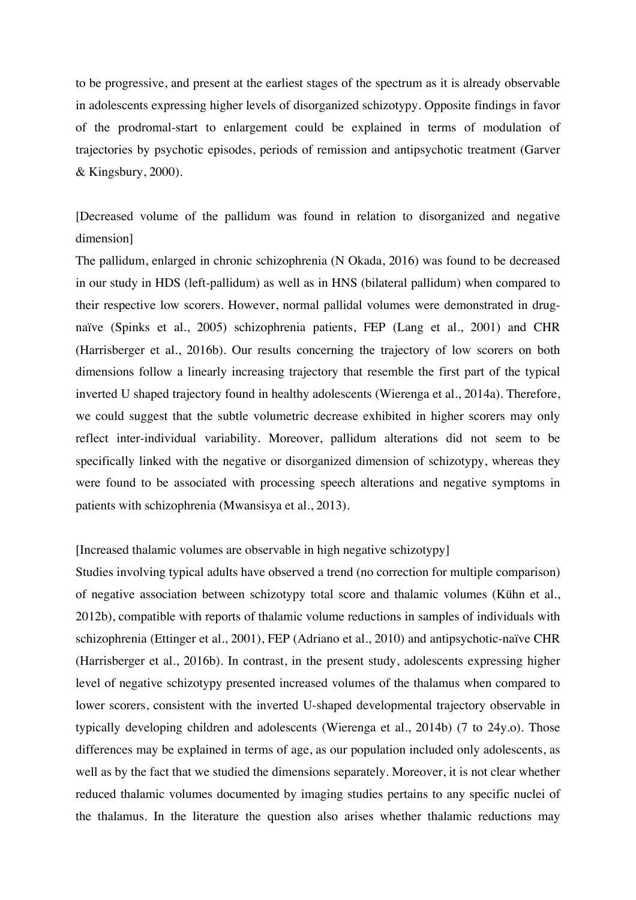to be progressive, and present at the earliest stages of the spectrum as it is already observable in adolescents expressing higher levels of disorganized schizotypy. Opposite findings in favor of the prodromal-start to enlargement could be explained in terms of modulation of trajectories by psychotic episodes, periods of remission and antipsychotic treatment (Garver & Kingsbury, 2000).

[Decreased volume of the pallidum was found in relation to disorganized and negative dimension]

The pallidum, enlarged in chronic schizophrenia (N Okada, 2016) was found to be decreased in our study in HDS (left-pallidum) as well as in HNS (bilateral pallidum) when compared to their respective low scorers. However, normal pallidal volumes were demonstrated in drugnaïve (Spinks et al., 2005) schizophrenia patients, FEP (Lang et al., 2001) and CHR (Harrisberger et al., 2016b). Our results concerning the trajectory of low scorers on both dimensions follow a linearly increasing trajectory that resemble the first part of the typical inverted U shaped trajectory found in healthy adolescents (Wierenga et al., 2014a). Therefore, we could suggest that the subtle volumetric decrease exhibited in higher scorers may only reflect inter-individual variability. Moreover, pallidum alterations did not seem to be specifically linked with the negative or disorganized dimension of schizotypy, whereas they were found to be associated with processing speech alterations and negative symptoms in patients with schizophrenia (Mwansisya et al., 2013).

# [Increased thalamic volumes are observable in high negative schizotypy]

Studies involving typical adults have observed a trend (no correction for multiple comparison) of negative association between schizotypy total score and thalamic volumes (Kühn et al., 2012b), compatible with reports of thalamic volume reductions in samples of individuals with schizophrenia (Ettinger et al., 2001), FEP (Adriano et al., 2010) and antipsychotic-naïve CHR (Harrisberger et al., 2016b). In contrast, in the present study, adolescents expressing higher level of negative schizotypy presented increased volumes of the thalamus when compared to lower scorers, consistent with the inverted U-shaped developmental trajectory observable in typically developing children and adolescents (Wierenga et al., 2014b) (7 to 24y.o). Those differences may be explained in terms of age, as our population included only adolescents, as well as by the fact that we studied the dimensions separately. Moreover, it is not clear whether reduced thalamic volumes documented by imaging studies pertains to any specific nuclei of the thalamus. In the literature the question also arises whether thalamic reductions may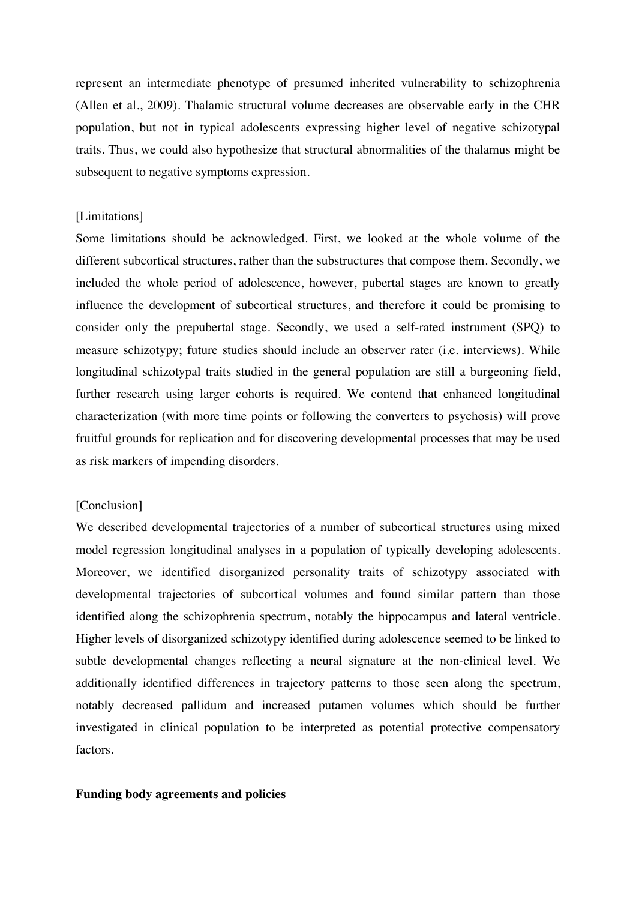represent an intermediate phenotype of presumed inherited vulnerability to schizophrenia (Allen et al., 2009). Thalamic structural volume decreases are observable early in the CHR population, but not in typical adolescents expressing higher level of negative schizotypal traits. Thus, we could also hypothesize that structural abnormalities of the thalamus might be subsequent to negative symptoms expression.

# [Limitations]

Some limitations should be acknowledged. First, we looked at the whole volume of the different subcortical structures, rather than the substructures that compose them. Secondly, we included the whole period of adolescence, however, pubertal stages are known to greatly influence the development of subcortical structures, and therefore it could be promising to consider only the prepubertal stage. Secondly, we used a self-rated instrument (SPQ) to measure schizotypy; future studies should include an observer rater (i.e. interviews). While longitudinal schizotypal traits studied in the general population are still a burgeoning field, further research using larger cohorts is required. We contend that enhanced longitudinal characterization (with more time points or following the converters to psychosis) will prove fruitful grounds for replication and for discovering developmental processes that may be used as risk markers of impending disorders.

# [Conclusion]

We described developmental trajectories of a number of subcortical structures using mixed model regression longitudinal analyses in a population of typically developing adolescents. Moreover, we identified disorganized personality traits of schizotypy associated with developmental trajectories of subcortical volumes and found similar pattern than those identified along the schizophrenia spectrum, notably the hippocampus and lateral ventricle. Higher levels of disorganized schizotypy identified during adolescence seemed to be linked to subtle developmental changes reflecting a neural signature at the non-clinical level. We additionally identified differences in trajectory patterns to those seen along the spectrum, notably decreased pallidum and increased putamen volumes which should be further investigated in clinical population to be interpreted as potential protective compensatory factors.

### **Funding body agreements and policies**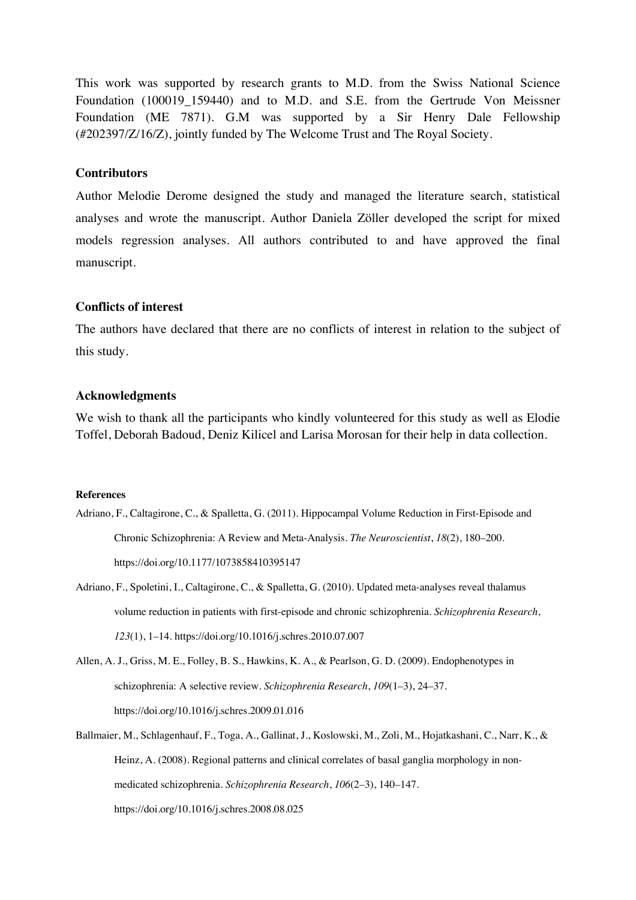This work was supported by research grants to M.D. from the Swiss National Science Foundation (100019 159440) and to M.D. and S.E. from the Gertrude Von Meissner Foundation (ME 7871). G.M was supported by a Sir Henry Dale Fellowship (#202397/Z/16/Z), jointly funded by The Welcome Trust and The Royal Society.

# **Contributors**

Author Melodie Derome designed the study and managed the literature search, statistical analyses and wrote the manuscript. Author Daniela Zöller developed the script for mixed models regression analyses. All authors contributed to and have approved the final manuscript.

# **Conflicts of interest**

The authors have declared that there are no conflicts of interest in relation to the subject of this study.

#### **Acknowledgments**

We wish to thank all the participants who kindly volunteered for this study as well as Elodie Toffel, Deborah Badoud, Deniz Kilicel and Larisa Morosan for their help in data collection.

#### **References**

- Adriano, F., Caltagirone, C., & Spalletta, G. (2011). Hippocampal Volume Reduction in First-Episode and Chronic Schizophrenia: A Review and Meta-Analysis. *The Neuroscientist*, *18*(2), 180–200. https://doi.org/10.1177/1073858410395147
- Adriano, F., Spoletini, I., Caltagirone, C., & Spalletta, G. (2010). Updated meta-analyses reveal thalamus volume reduction in patients with first-episode and chronic schizophrenia. *Schizophrenia Research*, *123*(1), 1–14. https://doi.org/10.1016/j.schres.2010.07.007

Allen, A. J., Griss, M. E., Folley, B. S., Hawkins, K. A., & Pearlson, G. D. (2009). Endophenotypes in schizophrenia: A selective review. *Schizophrenia Research*, *109*(1–3), 24–37. https://doi.org/10.1016/j.schres.2009.01.016

Ballmaier, M., Schlagenhauf, F., Toga, A., Gallinat, J., Koslowski, M., Zoli, M., Hojatkashani, C., Narr, K., & Heinz, A. (2008). Regional patterns and clinical correlates of basal ganglia morphology in nonmedicated schizophrenia. *Schizophrenia Research*, *106*(2–3), 140–147. https://doi.org/10.1016/j.schres.2008.08.025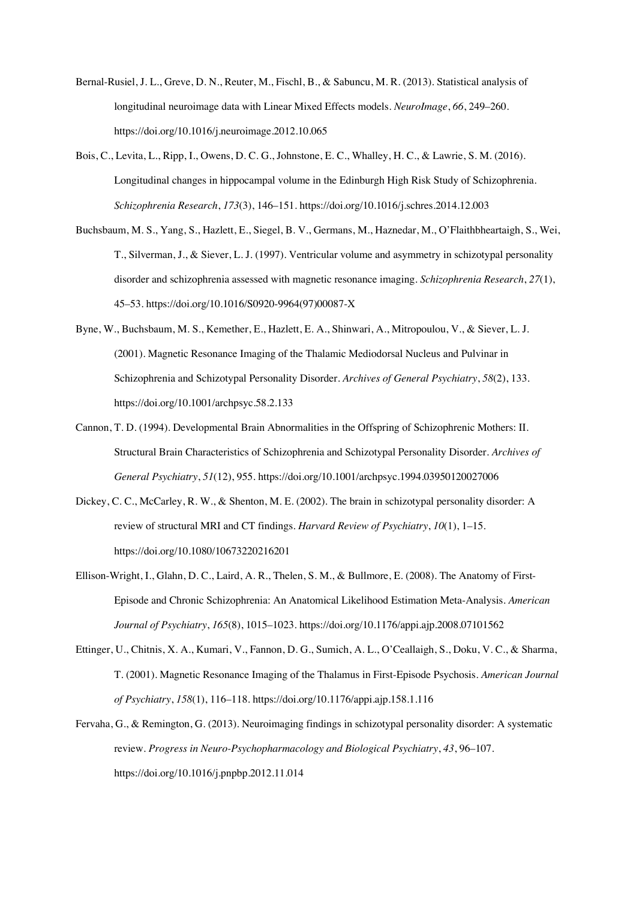- Bernal-Rusiel, J. L., Greve, D. N., Reuter, M., Fischl, B., & Sabuncu, M. R. (2013). Statistical analysis of longitudinal neuroimage data with Linear Mixed Effects models. *NeuroImage*, *66*, 249–260. https://doi.org/10.1016/j.neuroimage.2012.10.065
- Bois, C., Levita, L., Ripp, I., Owens, D. C. G., Johnstone, E. C., Whalley, H. C., & Lawrie, S. M. (2016). Longitudinal changes in hippocampal volume in the Edinburgh High Risk Study of Schizophrenia. *Schizophrenia Research*, *173*(3), 146–151. https://doi.org/10.1016/j.schres.2014.12.003
- Buchsbaum, M. S., Yang, S., Hazlett, E., Siegel, B. V., Germans, M., Haznedar, M., O'Flaithbheartaigh, S., Wei, T., Silverman, J., & Siever, L. J. (1997). Ventricular volume and asymmetry in schizotypal personality disorder and schizophrenia assessed with magnetic resonance imaging. *Schizophrenia Research*, *27*(1), 45–53. https://doi.org/10.1016/S0920-9964(97)00087-X
- Byne, W., Buchsbaum, M. S., Kemether, E., Hazlett, E. A., Shinwari, A., Mitropoulou, V., & Siever, L. J. (2001). Magnetic Resonance Imaging of the Thalamic Mediodorsal Nucleus and Pulvinar in Schizophrenia and Schizotypal Personality Disorder. *Archives of General Psychiatry*, *58*(2), 133. https://doi.org/10.1001/archpsyc.58.2.133
- Cannon, T. D. (1994). Developmental Brain Abnormalities in the Offspring of Schizophrenic Mothers: II. Structural Brain Characteristics of Schizophrenia and Schizotypal Personality Disorder. *Archives of General Psychiatry*, *51*(12), 955. https://doi.org/10.1001/archpsyc.1994.03950120027006
- Dickey, C. C., McCarley, R. W., & Shenton, M. E. (2002). The brain in schizotypal personality disorder: A review of structural MRI and CT findings. *Harvard Review of Psychiatry*, *10*(1), 1–15. https://doi.org/10.1080/10673220216201
- Ellison-Wright, I., Glahn, D. C., Laird, A. R., Thelen, S. M., & Bullmore, E. (2008). The Anatomy of First-Episode and Chronic Schizophrenia: An Anatomical Likelihood Estimation Meta-Analysis. *American Journal of Psychiatry*, *165*(8), 1015–1023. https://doi.org/10.1176/appi.ajp.2008.07101562
- Ettinger, U., Chitnis, X. A., Kumari, V., Fannon, D. G., Sumich, A. L., O'Ceallaigh, S., Doku, V. C., & Sharma, T. (2001). Magnetic Resonance Imaging of the Thalamus in First-Episode Psychosis. *American Journal of Psychiatry*, *158*(1), 116–118. https://doi.org/10.1176/appi.ajp.158.1.116
- Fervaha, G., & Remington, G. (2013). Neuroimaging findings in schizotypal personality disorder: A systematic review. *Progress in Neuro-Psychopharmacology and Biological Psychiatry*, *43*, 96–107. https://doi.org/10.1016/j.pnpbp.2012.11.014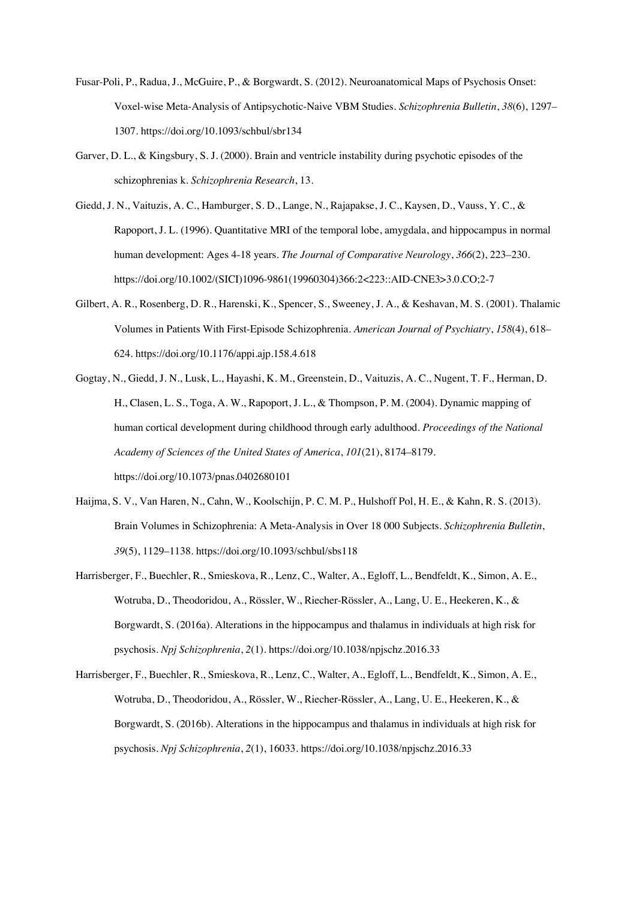- Fusar-Poli, P., Radua, J., McGuire, P., & Borgwardt, S. (2012). Neuroanatomical Maps of Psychosis Onset: Voxel-wise Meta-Analysis of Antipsychotic-Naive VBM Studies. *Schizophrenia Bulletin*, *38*(6), 1297– 1307. https://doi.org/10.1093/schbul/sbr134
- Garver, D. L., & Kingsbury, S. J. (2000). Brain and ventricle instability during psychotic episodes of the schizophrenias k. *Schizophrenia Research*, 13.
- Giedd, J. N., Vaituzis, A. C., Hamburger, S. D., Lange, N., Rajapakse, J. C., Kaysen, D., Vauss, Y. C., & Rapoport, J. L. (1996). Quantitative MRI of the temporal lobe, amygdala, and hippocampus in normal human development: Ages 4-18 years. *The Journal of Comparative Neurology*, *366*(2), 223–230. https://doi.org/10.1002/(SICI)1096-9861(19960304)366:2<223::AID-CNE3>3.0.CO;2-7
- Gilbert, A. R., Rosenberg, D. R., Harenski, K., Spencer, S., Sweeney, J. A., & Keshavan, M. S. (2001). Thalamic Volumes in Patients With First-Episode Schizophrenia. *American Journal of Psychiatry*, *158*(4), 618– 624. https://doi.org/10.1176/appi.ajp.158.4.618
- Gogtay, N., Giedd, J. N., Lusk, L., Hayashi, K. M., Greenstein, D., Vaituzis, A. C., Nugent, T. F., Herman, D. H., Clasen, L. S., Toga, A. W., Rapoport, J. L., & Thompson, P. M. (2004). Dynamic mapping of human cortical development during childhood through early adulthood. *Proceedings of the National Academy of Sciences of the United States of America*, *101*(21), 8174–8179. https://doi.org/10.1073/pnas.0402680101
- Haijma, S. V., Van Haren, N., Cahn, W., Koolschijn, P. C. M. P., Hulshoff Pol, H. E., & Kahn, R. S. (2013). Brain Volumes in Schizophrenia: A Meta-Analysis in Over 18 000 Subjects. *Schizophrenia Bulletin*, *39*(5), 1129–1138. https://doi.org/10.1093/schbul/sbs118
- Harrisberger, F., Buechler, R., Smieskova, R., Lenz, C., Walter, A., Egloff, L., Bendfeldt, K., Simon, A. E., Wotruba, D., Theodoridou, A., Rössler, W., Riecher-Rössler, A., Lang, U. E., Heekeren, K., & Borgwardt, S. (2016a). Alterations in the hippocampus and thalamus in individuals at high risk for psychosis. *Npj Schizophrenia*, *2*(1). https://doi.org/10.1038/npjschz.2016.33
- Harrisberger, F., Buechler, R., Smieskova, R., Lenz, C., Walter, A., Egloff, L., Bendfeldt, K., Simon, A. E., Wotruba, D., Theodoridou, A., Rössler, W., Riecher-Rössler, A., Lang, U. E., Heekeren, K., & Borgwardt, S. (2016b). Alterations in the hippocampus and thalamus in individuals at high risk for psychosis. *Npj Schizophrenia*, *2*(1), 16033. https://doi.org/10.1038/npjschz.2016.33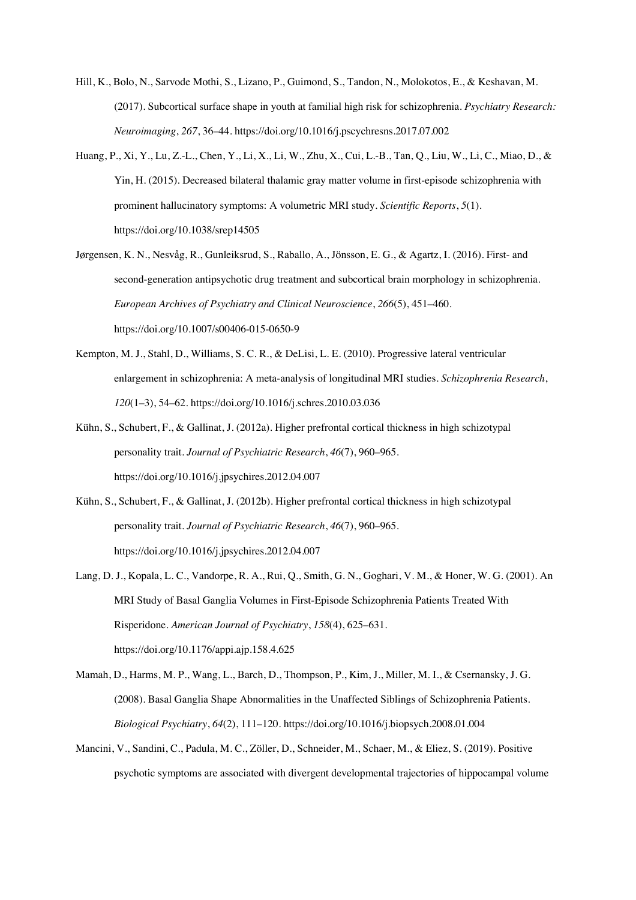- Hill, K., Bolo, N., Sarvode Mothi, S., Lizano, P., Guimond, S., Tandon, N., Molokotos, E., & Keshavan, M. (2017). Subcortical surface shape in youth at familial high risk for schizophrenia. *Psychiatry Research: Neuroimaging*, *267*, 36–44. https://doi.org/10.1016/j.pscychresns.2017.07.002
- Huang, P., Xi, Y., Lu, Z.-L., Chen, Y., Li, X., Li, W., Zhu, X., Cui, L.-B., Tan, Q., Liu, W., Li, C., Miao, D., & Yin, H. (2015). Decreased bilateral thalamic gray matter volume in first-episode schizophrenia with prominent hallucinatory symptoms: A volumetric MRI study. *Scientific Reports*, *5*(1). https://doi.org/10.1038/srep14505
- Jørgensen, K. N., Nesvåg, R., Gunleiksrud, S., Raballo, A., Jönsson, E. G., & Agartz, I. (2016). First- and second-generation antipsychotic drug treatment and subcortical brain morphology in schizophrenia. *European Archives of Psychiatry and Clinical Neuroscience*, *266*(5), 451–460. https://doi.org/10.1007/s00406-015-0650-9
- Kempton, M. J., Stahl, D., Williams, S. C. R., & DeLisi, L. E. (2010). Progressive lateral ventricular enlargement in schizophrenia: A meta-analysis of longitudinal MRI studies. *Schizophrenia Research*, *120*(1–3), 54–62. https://doi.org/10.1016/j.schres.2010.03.036
- Kühn, S., Schubert, F., & Gallinat, J. (2012a). Higher prefrontal cortical thickness in high schizotypal personality trait. *Journal of Psychiatric Research*, *46*(7), 960–965. https://doi.org/10.1016/j.jpsychires.2012.04.007
- Kühn, S., Schubert, F., & Gallinat, J. (2012b). Higher prefrontal cortical thickness in high schizotypal personality trait. *Journal of Psychiatric Research*, *46*(7), 960–965. https://doi.org/10.1016/j.jpsychires.2012.04.007
- Lang, D. J., Kopala, L. C., Vandorpe, R. A., Rui, Q., Smith, G. N., Goghari, V. M., & Honer, W. G. (2001). An MRI Study of Basal Ganglia Volumes in First-Episode Schizophrenia Patients Treated With Risperidone. *American Journal of Psychiatry*, *158*(4), 625–631. https://doi.org/10.1176/appi.ajp.158.4.625
- Mamah, D., Harms, M. P., Wang, L., Barch, D., Thompson, P., Kim, J., Miller, M. I., & Csernansky, J. G. (2008). Basal Ganglia Shape Abnormalities in the Unaffected Siblings of Schizophrenia Patients. *Biological Psychiatry*, *64*(2), 111–120. https://doi.org/10.1016/j.biopsych.2008.01.004
- Mancini, V., Sandini, C., Padula, M. C., Zöller, D., Schneider, M., Schaer, M., & Eliez, S. (2019). Positive psychotic symptoms are associated with divergent developmental trajectories of hippocampal volume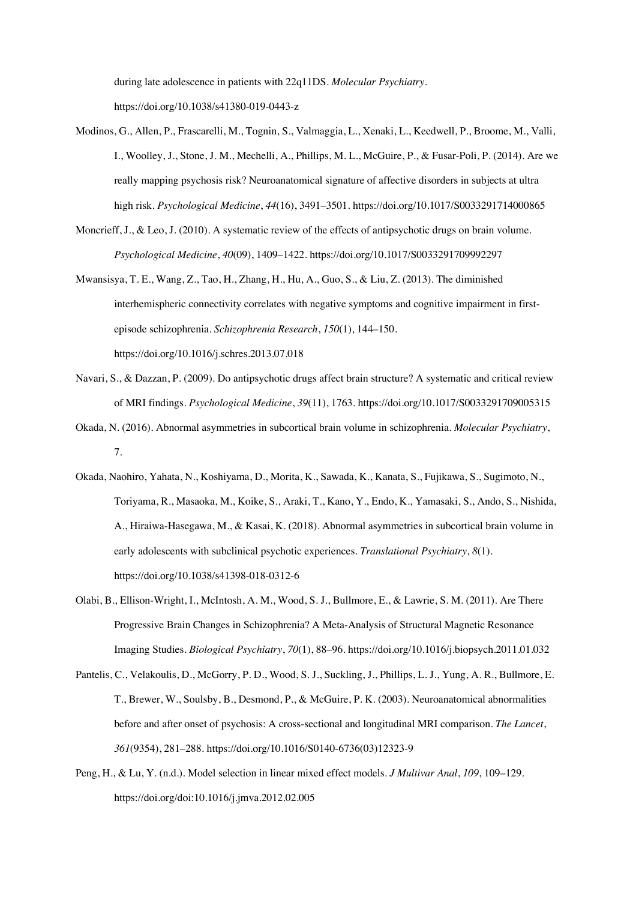during late adolescence in patients with 22q11DS. *Molecular Psychiatry*.

https://doi.org/10.1038/s41380-019-0443-z

- Modinos, G., Allen, P., Frascarelli, M., Tognin, S., Valmaggia, L., Xenaki, L., Keedwell, P., Broome, M., Valli, I., Woolley, J., Stone, J. M., Mechelli, A., Phillips, M. L., McGuire, P., & Fusar-Poli, P. (2014). Are we really mapping psychosis risk? Neuroanatomical signature of affective disorders in subjects at ultra high risk. *Psychological Medicine*, *44*(16), 3491–3501. https://doi.org/10.1017/S0033291714000865
- Moncrieff, J., & Leo, J. (2010). A systematic review of the effects of antipsychotic drugs on brain volume. *Psychological Medicine*, *40*(09), 1409–1422. https://doi.org/10.1017/S0033291709992297
- Mwansisya, T. E., Wang, Z., Tao, H., Zhang, H., Hu, A., Guo, S., & Liu, Z. (2013). The diminished interhemispheric connectivity correlates with negative symptoms and cognitive impairment in firstepisode schizophrenia. *Schizophrenia Research*, *150*(1), 144–150. https://doi.org/10.1016/j.schres.2013.07.018
- Navari, S., & Dazzan, P. (2009). Do antipsychotic drugs affect brain structure? A systematic and critical review of MRI findings. *Psychological Medicine*, *39*(11), 1763. https://doi.org/10.1017/S0033291709005315
- Okada, N. (2016). Abnormal asymmetries in subcortical brain volume in schizophrenia. *Molecular Psychiatry*, 7.
- Okada, Naohiro, Yahata, N., Koshiyama, D., Morita, K., Sawada, K., Kanata, S., Fujikawa, S., Sugimoto, N., Toriyama, R., Masaoka, M., Koike, S., Araki, T., Kano, Y., Endo, K., Yamasaki, S., Ando, S., Nishida, A., Hiraiwa-Hasegawa, M., & Kasai, K. (2018). Abnormal asymmetries in subcortical brain volume in early adolescents with subclinical psychotic experiences. *Translational Psychiatry*, *8*(1). https://doi.org/10.1038/s41398-018-0312-6
- Olabi, B., Ellison-Wright, I., McIntosh, A. M., Wood, S. J., Bullmore, E., & Lawrie, S. M. (2011). Are There Progressive Brain Changes in Schizophrenia? A Meta-Analysis of Structural Magnetic Resonance Imaging Studies. *Biological Psychiatry*, *70*(1), 88–96. https://doi.org/10.1016/j.biopsych.2011.01.032
- Pantelis, C., Velakoulis, D., McGorry, P. D., Wood, S. J., Suckling, J., Phillips, L. J., Yung, A. R., Bullmore, E. T., Brewer, W., Soulsby, B., Desmond, P., & McGuire, P. K. (2003). Neuroanatomical abnormalities before and after onset of psychosis: A cross-sectional and longitudinal MRI comparison. *The Lancet*, *361*(9354), 281–288. https://doi.org/10.1016/S0140-6736(03)12323-9
- Peng, H., & Lu, Y. (n.d.). Model selection in linear mixed effect models. *J Multivar Anal*, *109*, 109–129. https://doi.org/doi:10.1016/j.jmva.2012.02.005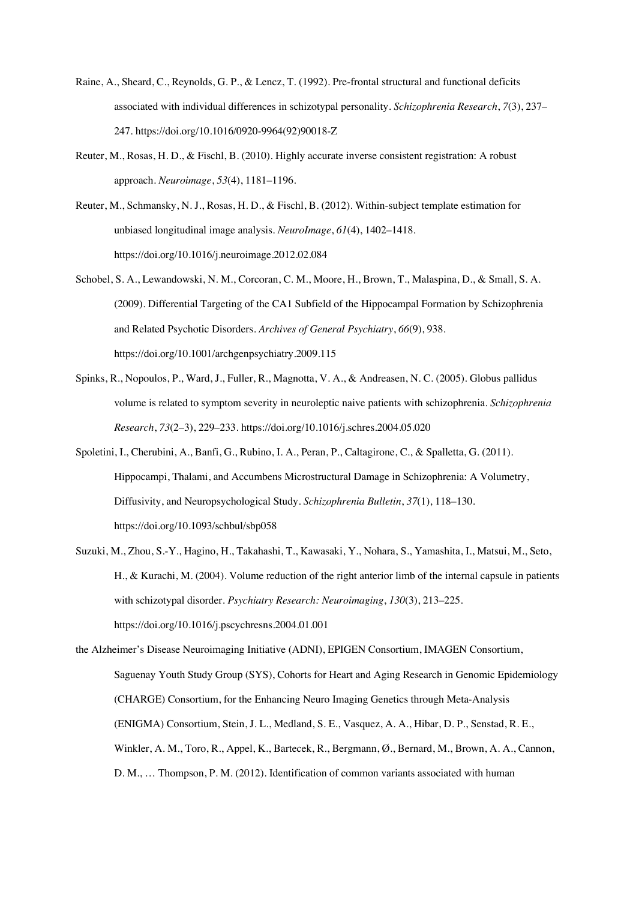- Raine, A., Sheard, C., Reynolds, G. P., & Lencz, T. (1992). Pre-frontal structural and functional deficits associated with individual differences in schizotypal personality. *Schizophrenia Research*, *7*(3), 237– 247. https://doi.org/10.1016/0920-9964(92)90018-Z
- Reuter, M., Rosas, H. D., & Fischl, B. (2010). Highly accurate inverse consistent registration: A robust approach. *Neuroimage*, *53*(4), 1181–1196.
- Reuter, M., Schmansky, N. J., Rosas, H. D., & Fischl, B. (2012). Within-subject template estimation for unbiased longitudinal image analysis. *NeuroImage*, *61*(4), 1402–1418. https://doi.org/10.1016/j.neuroimage.2012.02.084
- Schobel, S. A., Lewandowski, N. M., Corcoran, C. M., Moore, H., Brown, T., Malaspina, D., & Small, S. A. (2009). Differential Targeting of the CA1 Subfield of the Hippocampal Formation by Schizophrenia and Related Psychotic Disorders. *Archives of General Psychiatry*, *66*(9), 938. https://doi.org/10.1001/archgenpsychiatry.2009.115
- Spinks, R., Nopoulos, P., Ward, J., Fuller, R., Magnotta, V. A., & Andreasen, N. C. (2005). Globus pallidus volume is related to symptom severity in neuroleptic naive patients with schizophrenia. *Schizophrenia Research*, *73*(2–3), 229–233. https://doi.org/10.1016/j.schres.2004.05.020
- Spoletini, I., Cherubini, A., Banfi, G., Rubino, I. A., Peran, P., Caltagirone, C., & Spalletta, G. (2011). Hippocampi, Thalami, and Accumbens Microstructural Damage in Schizophrenia: A Volumetry, Diffusivity, and Neuropsychological Study. *Schizophrenia Bulletin*, *37*(1), 118–130. https://doi.org/10.1093/schbul/sbp058
- Suzuki, M., Zhou, S.-Y., Hagino, H., Takahashi, T., Kawasaki, Y., Nohara, S., Yamashita, I., Matsui, M., Seto, H., & Kurachi, M. (2004). Volume reduction of the right anterior limb of the internal capsule in patients with schizotypal disorder. *Psychiatry Research: Neuroimaging*, *130*(3), 213–225. https://doi.org/10.1016/j.pscychresns.2004.01.001
- the Alzheimer's Disease Neuroimaging Initiative (ADNI), EPIGEN Consortium, IMAGEN Consortium, Saguenay Youth Study Group (SYS), Cohorts for Heart and Aging Research in Genomic Epidemiology (CHARGE) Consortium, for the Enhancing Neuro Imaging Genetics through Meta-Analysis (ENIGMA) Consortium, Stein, J. L., Medland, S. E., Vasquez, A. A., Hibar, D. P., Senstad, R. E., Winkler, A. M., Toro, R., Appel, K., Bartecek, R., Bergmann, Ø., Bernard, M., Brown, A. A., Cannon, D. M., … Thompson, P. M. (2012). Identification of common variants associated with human